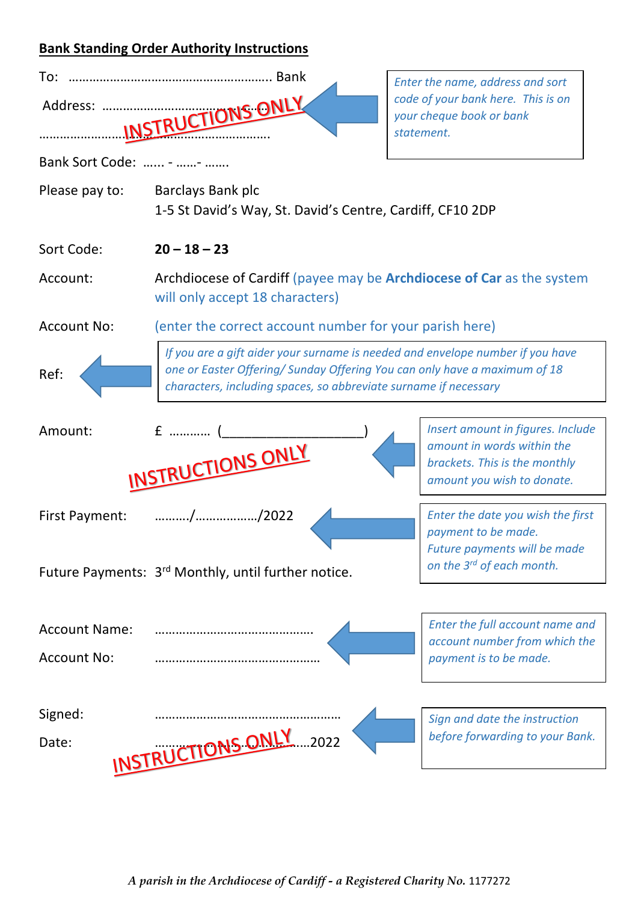## **Bank Standing Order Authority Instructions**

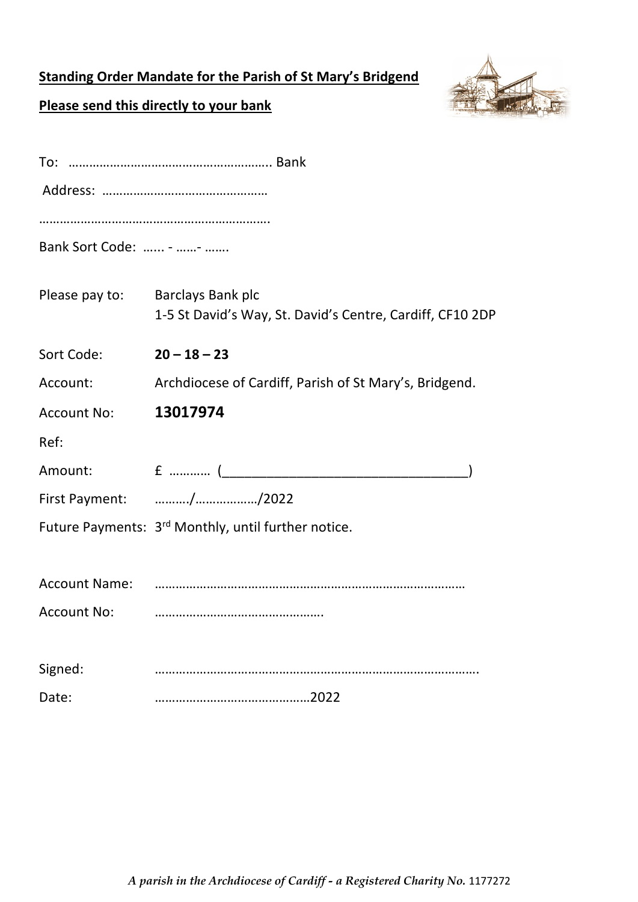## **Standing Order Mandate for the Parish of St Mary's Bridgend**



## **Please send this directly to your bank**

| Bank Sort Code:  -  - |                                                                                       |
|-----------------------|---------------------------------------------------------------------------------------|
| Please pay to:        | <b>Barclays Bank plc</b><br>1-5 St David's Way, St. David's Centre, Cardiff, CF10 2DP |
| Sort Code:            | $20 - 18 - 23$                                                                        |
| Account:              | Archdiocese of Cardiff, Parish of St Mary's, Bridgend.                                |
| <b>Account No:</b>    | 13017974                                                                              |
| Ref:                  |                                                                                       |
| Amount:               |                                                                                       |
|                       | First Payment: //2022                                                                 |
|                       | Future Payments: 3rd Monthly, until further notice.                                   |
|                       |                                                                                       |
| <b>Account Name:</b>  |                                                                                       |
| <b>Account No:</b>    |                                                                                       |
|                       |                                                                                       |
| Signed:               |                                                                                       |
| Date:                 |                                                                                       |